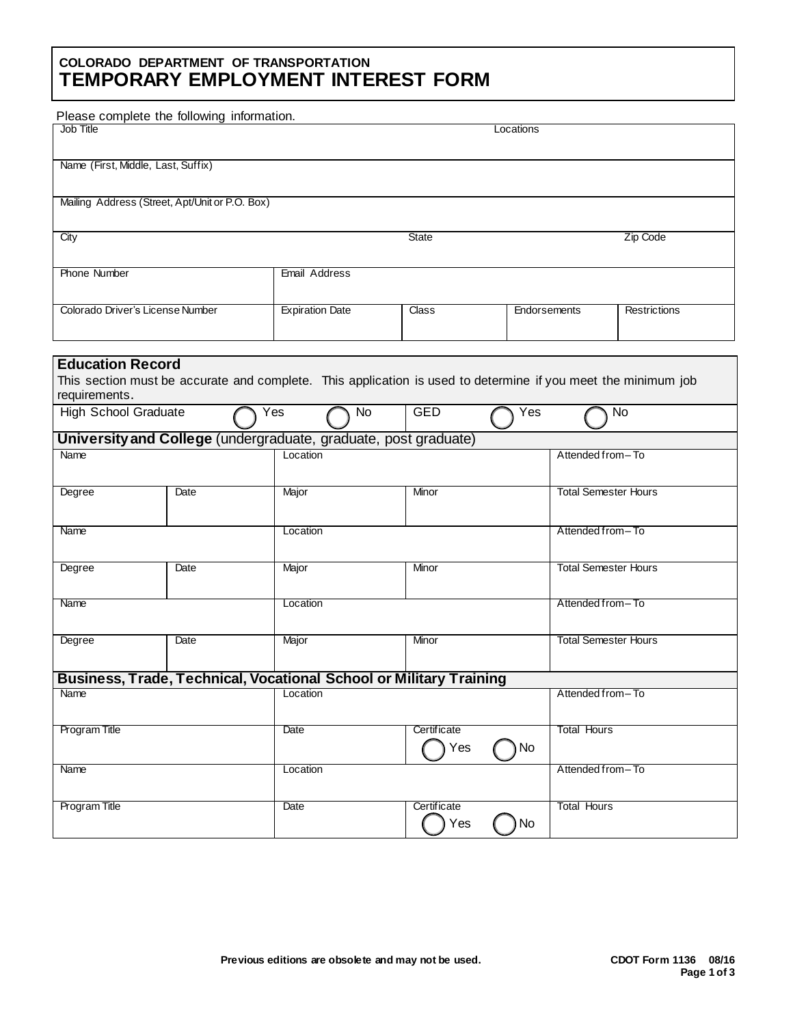# **COLORADO DEPARTMENT OF TRANSPORTATION TEMPORARY EMPLOYMENT INTEREST FORM**

|                                    | Please complete the following information.     |                                                                                                               |              |     |                              |          |
|------------------------------------|------------------------------------------------|---------------------------------------------------------------------------------------------------------------|--------------|-----|------------------------------|----------|
| Job Title                          |                                                |                                                                                                               | Locations    |     |                              |          |
|                                    |                                                |                                                                                                               |              |     |                              |          |
| Name (First, Middle, Last, Suffix) |                                                |                                                                                                               |              |     |                              |          |
|                                    |                                                |                                                                                                               |              |     |                              |          |
|                                    | Mailing Address (Street, Apt/Unit or P.O. Box) |                                                                                                               |              |     |                              |          |
|                                    |                                                |                                                                                                               |              |     |                              |          |
| City                               |                                                |                                                                                                               | <b>State</b> |     |                              | Zip Code |
|                                    |                                                |                                                                                                               |              |     |                              |          |
| <b>Phone Number</b>                |                                                | Email Address                                                                                                 |              |     |                              |          |
|                                    |                                                |                                                                                                               |              |     |                              |          |
| Colorado Driver's License Number   |                                                | <b>Expiration Date</b>                                                                                        | <b>Class</b> |     | Restrictions<br>Endorsements |          |
|                                    |                                                |                                                                                                               |              |     |                              |          |
|                                    |                                                |                                                                                                               |              |     |                              |          |
| <b>Education Record</b>            |                                                |                                                                                                               |              |     |                              |          |
|                                    |                                                | This section must be accurate and complete. This application is used to determine if you meet the minimum job |              |     |                              |          |
| requirements.                      |                                                |                                                                                                               |              |     |                              |          |
| High School Graduate               |                                                | Yes<br>No                                                                                                     | <b>GED</b>   | Yes |                              | No       |
|                                    |                                                |                                                                                                               |              |     |                              |          |
|                                    |                                                | University and College (undergraduate, graduate, post graduate)<br>Location                                   |              |     | Attended from-To             |          |
| Name                               |                                                |                                                                                                               |              |     |                              |          |
|                                    |                                                |                                                                                                               |              |     |                              |          |
| Degree                             | Date                                           | Major                                                                                                         | Minor        |     | <b>Total Semester Hours</b>  |          |
|                                    |                                                |                                                                                                               |              |     |                              |          |
| Name                               |                                                | Location                                                                                                      |              |     | Attended from-To             |          |
|                                    |                                                |                                                                                                               |              |     |                              |          |
| Degree                             | Date                                           | Major                                                                                                         | Minor        |     | <b>Total Semester Hours</b>  |          |
|                                    |                                                |                                                                                                               |              |     |                              |          |
| Name                               |                                                | Location                                                                                                      |              |     | Attended from-To             |          |
|                                    |                                                |                                                                                                               |              |     |                              |          |
| Degree                             | Date                                           | Major                                                                                                         | Minor        |     | <b>Total Semester Hours</b>  |          |
|                                    |                                                |                                                                                                               |              |     |                              |          |
|                                    |                                                | <b>Business, Trade, Technical, Vocational School or Military Training</b>                                     |              |     |                              |          |
| Name                               |                                                | Location                                                                                                      |              |     | Attended from-To             |          |
|                                    |                                                |                                                                                                               |              |     |                              |          |
| Program Title                      |                                                | Date                                                                                                          | Certificate  |     | <b>Total Hours</b>           |          |
|                                    |                                                |                                                                                                               | Yes          | No  |                              |          |
|                                    |                                                |                                                                                                               |              |     |                              |          |
| Name                               |                                                |                                                                                                               | Location     |     | Attended from-To             |          |
|                                    |                                                |                                                                                                               |              |     |                              |          |
| Program Title                      |                                                | Date                                                                                                          | Certificate  |     | <b>Total Hours</b>           |          |
|                                    |                                                |                                                                                                               | Yes          | No  |                              |          |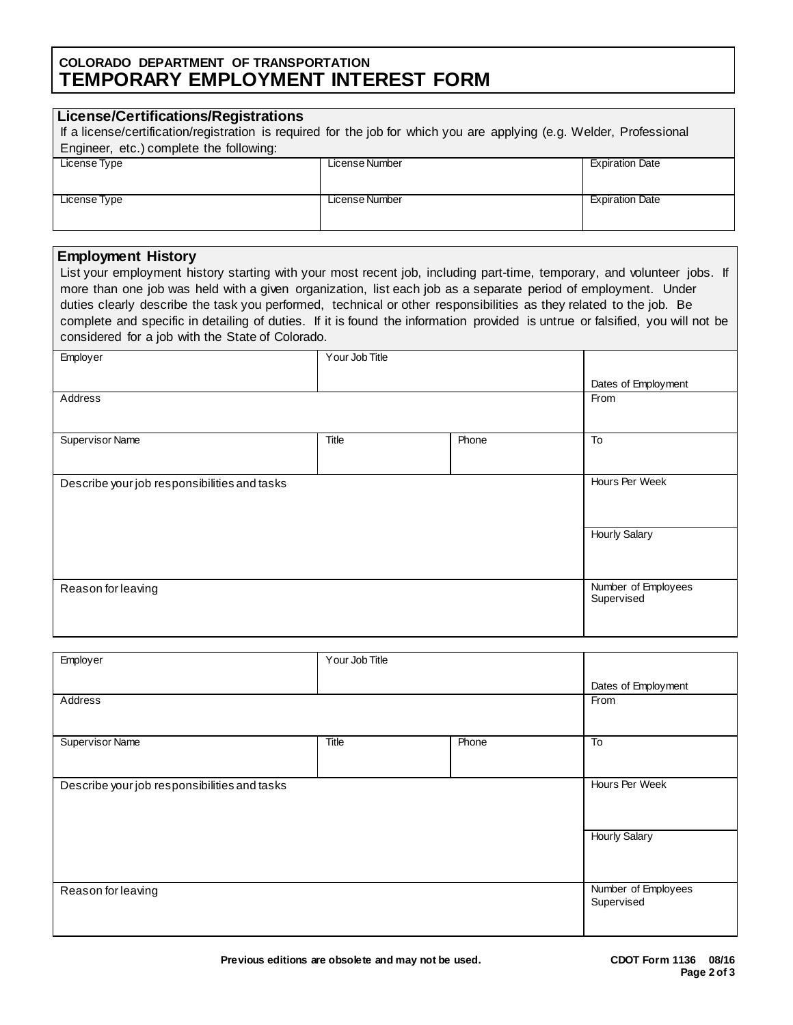### **COLORADO DEPARTMENT OF TRANSPORTATION TEMPORARY EMPLOYMENT INTEREST FORM**

### **License/Certifications/Registrations**

| If a license/certification/registration is required for the job for which you are applying (e.g. Welder, Professional |  |
|-----------------------------------------------------------------------------------------------------------------------|--|
| Engineer, etc.) complete the following:                                                                               |  |

| License Type | License Number | <b>Expiration Date</b> |
|--------------|----------------|------------------------|
|              |                |                        |
| License Type | License Number | <b>Expiration Date</b> |
|              |                |                        |

#### **Employment History**

List your employment history starting with your most recent job, including part-time, temporary, and volunteer jobs. If more than one job was held with a given organization, list each job as a separate period of employment. Under duties clearly describe the task you performed, technical or other responsibilities as they related to the job. Be complete and specific in detailing of duties. If it is found the information provided is untrue or falsified, you will not be considered for a job with the State of Colorado.

| Employer                                     | Your Job Title |       |                                   |
|----------------------------------------------|----------------|-------|-----------------------------------|
|                                              |                |       | Dates of Employment               |
| Address                                      |                |       | From                              |
|                                              |                |       |                                   |
| Supervisor Name                              | Title          | Phone | To                                |
|                                              |                |       |                                   |
| Describe your job responsibilities and tasks |                |       | Hours Per Week                    |
|                                              |                |       |                                   |
|                                              |                |       | <b>Hourly Salary</b>              |
|                                              |                |       |                                   |
|                                              |                |       |                                   |
| Reason for leaving                           |                |       | Number of Employees<br>Supervised |
|                                              |                |       |                                   |

| Employer                                     | Your Job Title |       |                      |
|----------------------------------------------|----------------|-------|----------------------|
|                                              |                |       | Dates of Employment  |
| Address                                      |                |       | From                 |
|                                              |                |       |                      |
| <b>Supervisor Name</b>                       | Title          | Phone | To                   |
|                                              |                |       |                      |
| Describe your job responsibilities and tasks |                |       | Hours Per Week       |
|                                              |                |       |                      |
|                                              |                |       | <b>Hourly Salary</b> |
|                                              |                |       |                      |
|                                              |                |       |                      |
| Reason for leaving                           |                |       | Number of Employees  |
|                                              |                |       | Supervised           |
|                                              |                |       |                      |